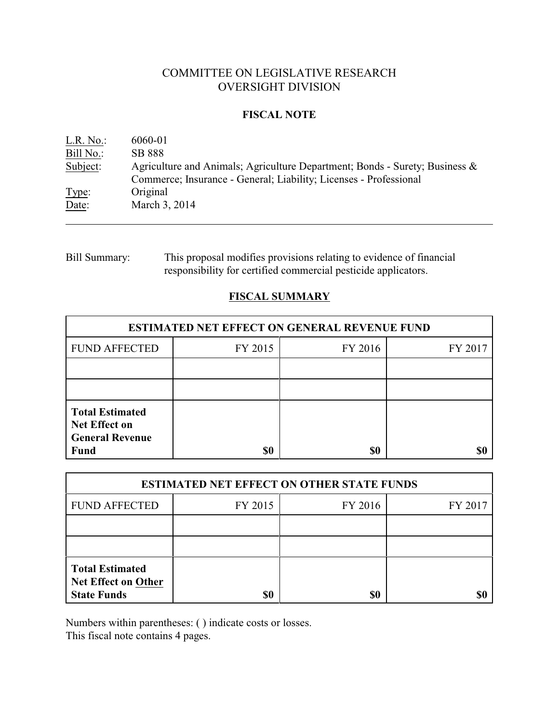# COMMITTEE ON LEGISLATIVE RESEARCH OVERSIGHT DIVISION

### **FISCAL NOTE**

| L.R. No.: | 6060-01                                                                        |
|-----------|--------------------------------------------------------------------------------|
| Bill No.: | <b>SB 888</b>                                                                  |
| Subject:  | Agriculture and Animals; Agriculture Department; Bonds - Surety; Business $\&$ |
|           | Commerce; Insurance - General; Liability; Licenses - Professional              |
| Type:     | Original                                                                       |
| Date:     | March 3, 2014                                                                  |

# Bill Summary: This proposal modifies provisions relating to evidence of financial responsibility for certified commercial pesticide applicators.

# **FISCAL SUMMARY**

| <b>ESTIMATED NET EFFECT ON GENERAL REVENUE FUND</b>                                     |         |         |         |  |
|-----------------------------------------------------------------------------------------|---------|---------|---------|--|
| <b>FUND AFFECTED</b>                                                                    | FY 2015 | FY 2016 | FY 2017 |  |
|                                                                                         |         |         |         |  |
|                                                                                         |         |         |         |  |
| <b>Total Estimated</b><br><b>Net Effect on</b><br><b>General Revenue</b><br><b>Fund</b> | \$0     | \$0     |         |  |

| <b>ESTIMATED NET EFFECT ON OTHER STATE FUNDS</b>                           |         |         |         |  |
|----------------------------------------------------------------------------|---------|---------|---------|--|
| <b>FUND AFFECTED</b>                                                       | FY 2015 | FY 2016 | FY 2017 |  |
|                                                                            |         |         |         |  |
|                                                                            |         |         |         |  |
| <b>Total Estimated</b><br><b>Net Effect on Other</b><br><b>State Funds</b> | \$0     | \$0     |         |  |

Numbers within parentheses: ( ) indicate costs or losses.

This fiscal note contains 4 pages.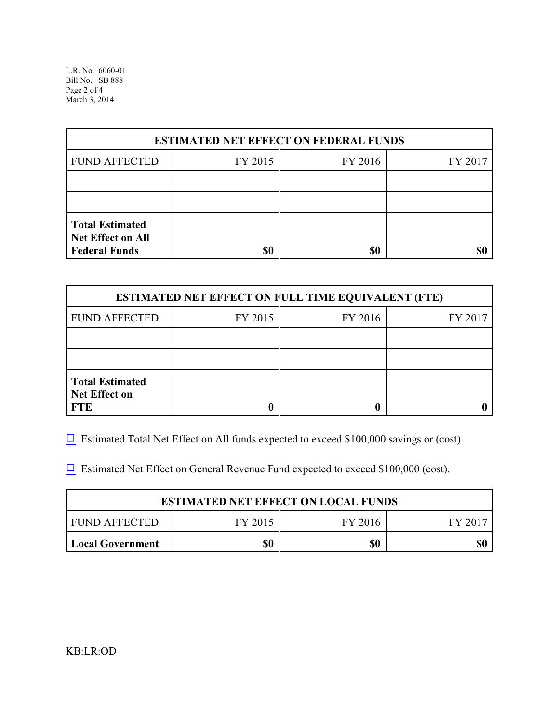L.R. No. 6060-01 Bill No. SB 888 Page 2 of 4 March 3, 2014

| <b>ESTIMATED NET EFFECT ON FEDERAL FUNDS</b>                        |         |         |         |  |
|---------------------------------------------------------------------|---------|---------|---------|--|
| <b>FUND AFFECTED</b>                                                | FY 2015 | FY 2016 | FY 2017 |  |
|                                                                     |         |         |         |  |
|                                                                     |         |         |         |  |
| <b>Total Estimated</b><br>Net Effect on All<br><b>Federal Funds</b> | \$0     | \$0     |         |  |

| <b>ESTIMATED NET EFFECT ON FULL TIME EQUIVALENT (FTE)</b>    |         |         |         |  |
|--------------------------------------------------------------|---------|---------|---------|--|
| <b>FUND AFFECTED</b>                                         | FY 2015 | FY 2016 | FY 2017 |  |
|                                                              |         |         |         |  |
|                                                              |         |         |         |  |
| <b>Total Estimated</b><br><b>Net Effect on</b><br><b>FTE</b> |         |         |         |  |

 $\Box$  Estimated Total Net Effect on All funds expected to exceed \$100,000 savings or (cost).

 $\Box$  Estimated Net Effect on General Revenue Fund expected to exceed \$100,000 (cost).

| <b>ESTIMATED NET EFFECT ON LOCAL FUNDS</b> |         |         |       |
|--------------------------------------------|---------|---------|-------|
| FUND AFFECTED                              | FY 2015 | FY 2016 | FV 20 |
| <b>Local Government</b>                    | \$0     | \$0     |       |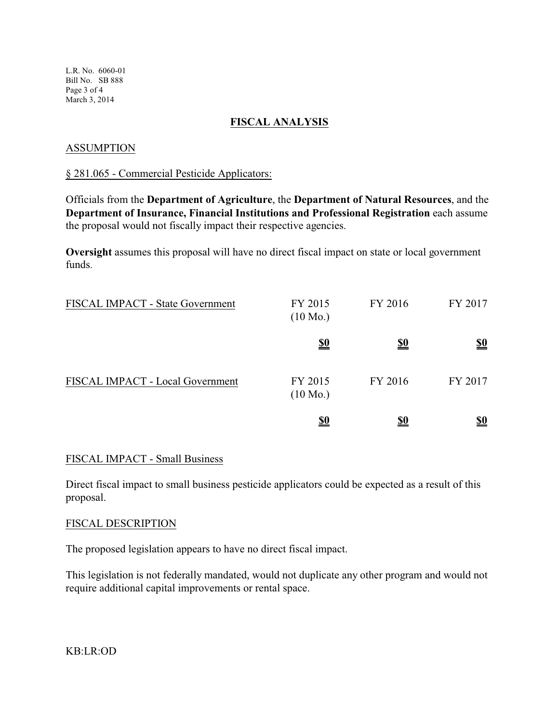L.R. No. 6060-01 Bill No. SB 888 Page 3 of 4 March 3, 2014

### **FISCAL ANALYSIS**

### ASSUMPTION

#### § 281.065 - Commercial Pesticide Applicators:

Officials from the **Department of Agriculture**, the **Department of Natural Resources**, and the **Department of Insurance, Financial Institutions and Professional Registration** each assume the proposal would not fiscally impact their respective agencies.

**Oversight** assumes this proposal will have no direct fiscal impact on state or local government funds.

| <b>FISCAL IMPACT - State Government</b> | FY 2015<br>$(10 \text{ Mo.})$ | FY 2016    | FY 2017                       |
|-----------------------------------------|-------------------------------|------------|-------------------------------|
|                                         | <u>\$0</u>                    | <u>\$0</u> | $\underline{\underline{\$0}}$ |
| FISCAL IMPACT - Local Government        | FY 2015<br>$(10 \text{ Mo.})$ | FY 2016    | FY 2017                       |
|                                         | <u>\$0</u>                    | <u>\$0</u> | <u>\$0</u>                    |

### FISCAL IMPACT - Small Business

Direct fiscal impact to small business pesticide applicators could be expected as a result of this proposal.

### FISCAL DESCRIPTION

The proposed legislation appears to have no direct fiscal impact.

This legislation is not federally mandated, would not duplicate any other program and would not require additional capital improvements or rental space.

KB:LR:OD